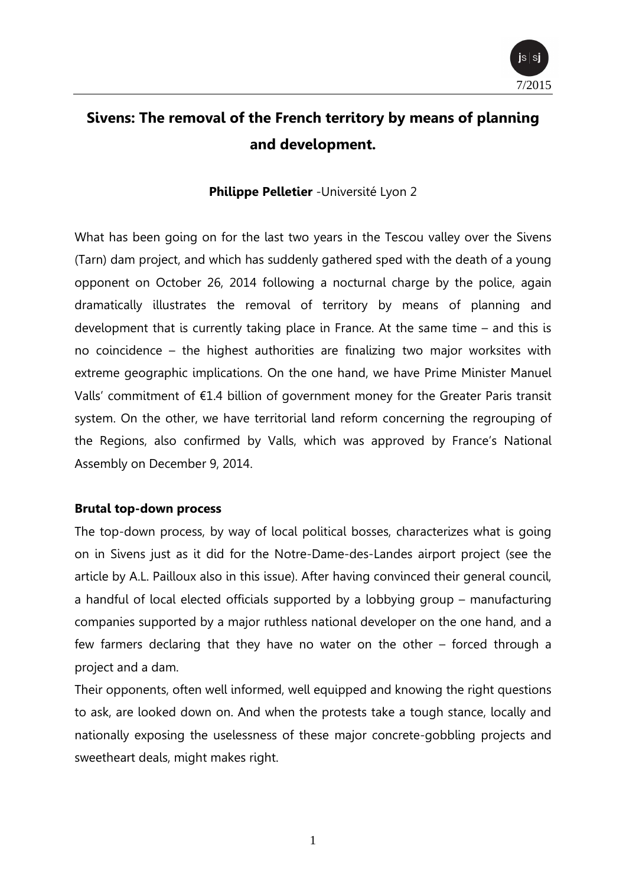

# **Sivens: The removal of the French territory by means of planning and development.**

#### **Philippe Pelletier** -Université Lyon 2

What has been going on for the last two years in the Tescou valley over the Sivens (Tarn) dam project, and which has suddenly gathered sped with the death of a young opponent on October 26, 2014 following a nocturnal charge by the police, again dramatically illustrates the removal of territory by means of planning and development that is currently taking place in France. At the same time – and this is no coincidence – the highest authorities are finalizing two major worksites with extreme geographic implications. On the one hand, we have Prime Minister Manuel Valls' commitment of €1.4 billion of government money for the Greater Paris transit system. On the other, we have territorial land reform concerning the regrouping of the Regions, also confirmed by Valls, which was approved by France's National Assembly on December 9, 2014.

#### **Brutal top-down process**

The top-down process, by way of local political bosses, characterizes what is going on in Sivens just as it did for the Notre-Dame-des-Landes airport project (see the article by A.L. Pailloux also in this issue). After having convinced their general council, a handful of local elected officials supported by a lobbying group – manufacturing companies supported by a major ruthless national developer on the one hand, and a few farmers declaring that they have no water on the other – forced through a project and a dam.

Their opponents, often well informed, well equipped and knowing the right questions to ask, are looked down on. And when the protests take a tough stance, locally and nationally exposing the uselessness of these major concrete-gobbling projects and sweetheart deals, might makes right.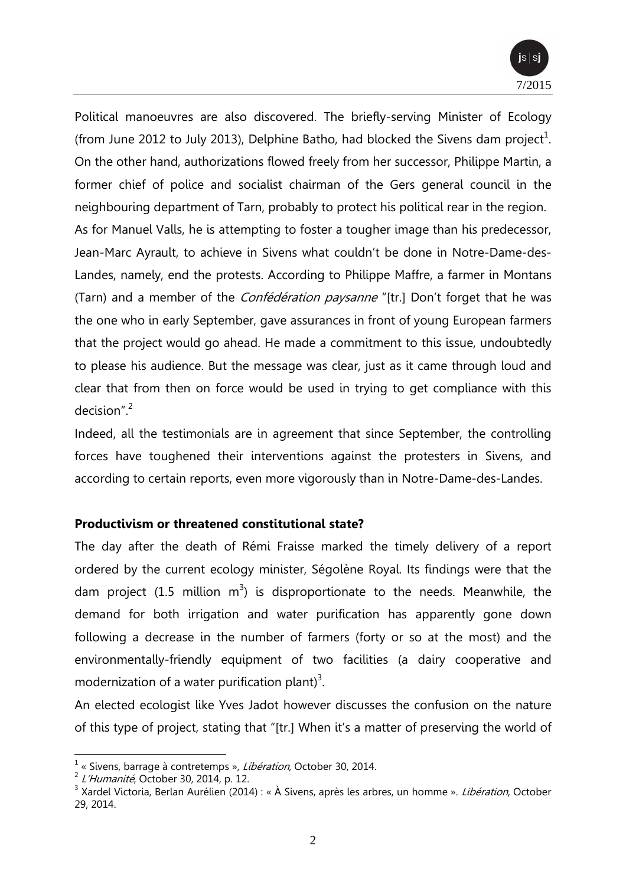

Political manoeuvres are also discovered. The briefly-serving Minister of Ecology (from June 2012 to July 2013), Delphine Batho, had blocked the Sivens dam project<sup>1</sup>. On the other hand, authorizations flowed freely from her successor, Philippe Martin, a former chief of police and socialist chairman of the Gers general council in the neighbouring department of Tarn, probably to protect his political rear in the region. As for Manuel Valls, he is attempting to foster a tougher image than his predecessor, Jean-Marc Ayrault, to achieve in Sivens what couldn't be done in Notre-Dame-des-Landes, namely, end the protests. According to Philippe Maffre, a farmer in Montans (Tarn) and a member of the *Confédération paysanne* "[tr.] Don't forget that he was the one who in early September, gave assurances in front of young European farmers that the project would go ahead. He made a commitment to this issue, undoubtedly to please his audience. But the message was clear, just as it came through loud and clear that from then on force would be used in trying to get compliance with this decision".<sup>2</sup>

Indeed, all the testimonials are in agreement that since September, the controlling forces have toughened their interventions against the protesters in Sivens, and according to certain reports, even more vigorously than in Notre-Dame-des-Landes.

#### **Productivism or threatened constitutional state?**

The day after the death of Rémi Fraisse marked the timely delivery of a report ordered by the current ecology minister, Ségolène Royal. Its findings were that the dam project (1.5 million m<sup>3</sup>) is disproportionate to the needs. Meanwhile, the demand for both irrigation and water purification has apparently gone down following a decrease in the number of farmers (forty or so at the most) and the environmentally-friendly equipment of two facilities (a dairy cooperative and modernization of a water purification plant)<sup>3</sup>.

An elected ecologist like Yves Jadot however discusses the confusion on the nature of this type of project, stating that "[tr.] When it's a matter of preserving the world of

 $\overline{a}$ 

<sup>&</sup>lt;sup>1</sup> « Sivens, barrage à contretemps », Libération, October 30, 2014.

 $2$  L'Humanité, October 30, 2014, p. 12.

<sup>&</sup>lt;sup>3</sup> Xardel Victoria, Berlan Aurélien (2014) : « À Sivens, après les arbres, un homme ». *Libération*, October 29, 2014.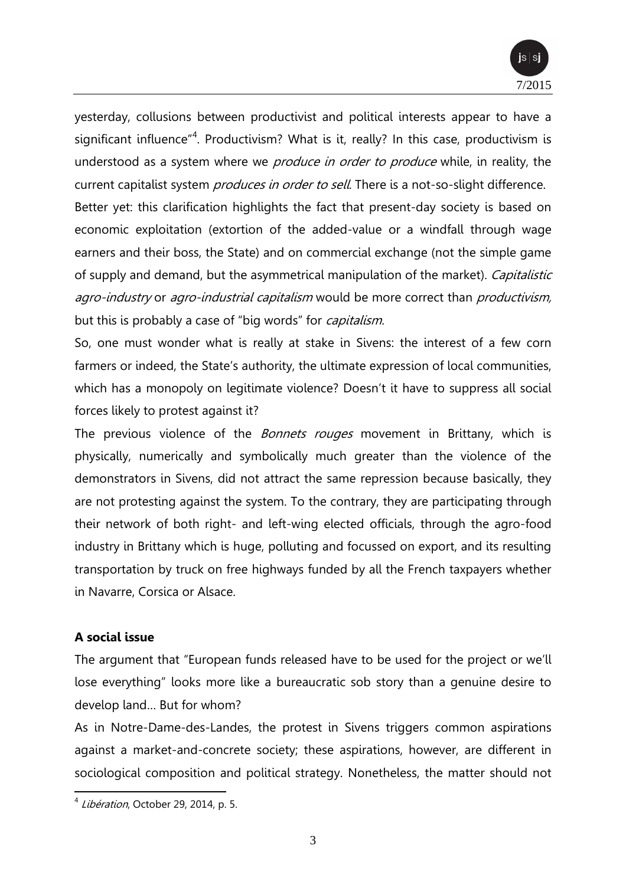

yesterday, collusions between productivist and political interests appear to have a significant influence"<sup>4</sup>. Productivism? What is it, really? In this case, productivism is understood as a system where we *produce in order to produce* while, in reality, the current capitalist system *produces in order to sell*. There is a not-so-slight difference.

Better yet: this clarification highlights the fact that present-day society is based on economic exploitation (extortion of the added-value or a windfall through wage earners and their boss, the State) and on commercial exchange (not the simple game of supply and demand, but the asymmetrical manipulation of the market). Capitalistic agro-industry or agro-industrial capitalism would be more correct than productivism, but this is probably a case of "big words" for *capitalism*.

So, one must wonder what is really at stake in Sivens: the interest of a few corn farmers or indeed, the State's authority, the ultimate expression of local communities, which has a monopoly on legitimate violence? Doesn't it have to suppress all social forces likely to protest against it?

The previous violence of the *Bonnets rouges* movement in Brittany, which is physically, numerically and symbolically much greater than the violence of the demonstrators in Sivens, did not attract the same repression because basically, they are not protesting against the system. To the contrary, they are participating through their network of both right- and left-wing elected officials, through the agro-food industry in Brittany which is huge, polluting and focussed on export, and its resulting transportation by truck on free highways funded by all the French taxpayers whether in Navarre, Corsica or Alsace.

### **A social issue**

The argument that "European funds released have to be used for the project or we'll lose everything" looks more like a bureaucratic sob story than a genuine desire to develop land… But for whom?

As in Notre-Dame-des-Landes, the protest in Sivens triggers common aspirations against a market-and-concrete society; these aspirations, however, are different in sociological composition and political strategy. Nonetheless, the matter should not

 4 Libération, October 29, 2014, p. 5.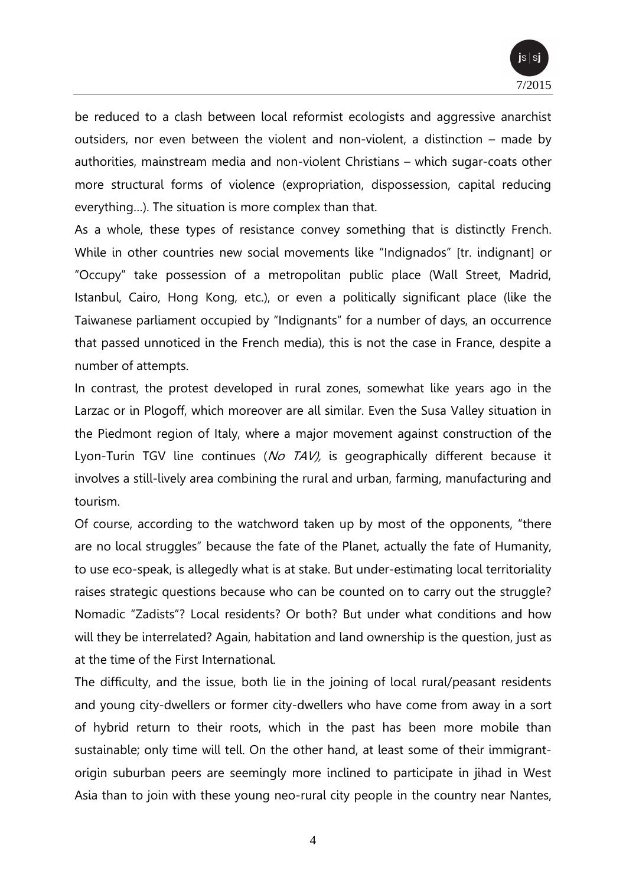

be reduced to a clash between local reformist ecologists and aggressive anarchist outsiders, nor even between the violent and non-violent, a distinction – made by authorities, mainstream media and non-violent Christians – which sugar-coats other more structural forms of violence (expropriation, dispossession, capital reducing everything…). The situation is more complex than that.

As a whole, these types of resistance convey something that is distinctly French. While in other countries new social movements like "Indignados" [tr. indignant] or "Occupy" take possession of a metropolitan public place (Wall Street, Madrid, Istanbul, Cairo, Hong Kong, etc.), or even a politically significant place (like the Taiwanese parliament occupied by "Indignants" for a number of days, an occurrence that passed unnoticed in the French media), this is not the case in France, despite a number of attempts.

In contrast, the protest developed in rural zones, somewhat like years ago in the Larzac or in Plogoff, which moreover are all similar. Even the Susa Valley situation in the Piedmont region of Italy, where a major movement against construction of the Lyon-Turin TGV line continues (No TAV), is geographically different because it involves a still-lively area combining the rural and urban, farming, manufacturing and tourism.

Of course, according to the watchword taken up by most of the opponents, "there are no local struggles" because the fate of the Planet, actually the fate of Humanity, to use eco-speak, is allegedly what is at stake. But under-estimating local territoriality raises strategic questions because who can be counted on to carry out the struggle? Nomadic "Zadists"? Local residents? Or both? But under what conditions and how will they be interrelated? Again, habitation and land ownership is the question, just as at the time of the First International.

The difficulty, and the issue, both lie in the joining of local rural/peasant residents and young city-dwellers or former city-dwellers who have come from away in a sort of hybrid return to their roots, which in the past has been more mobile than sustainable; only time will tell. On the other hand, at least some of their immigrantorigin suburban peers are seemingly more inclined to participate in jihad in West Asia than to join with these young neo-rural city people in the country near Nantes,

4